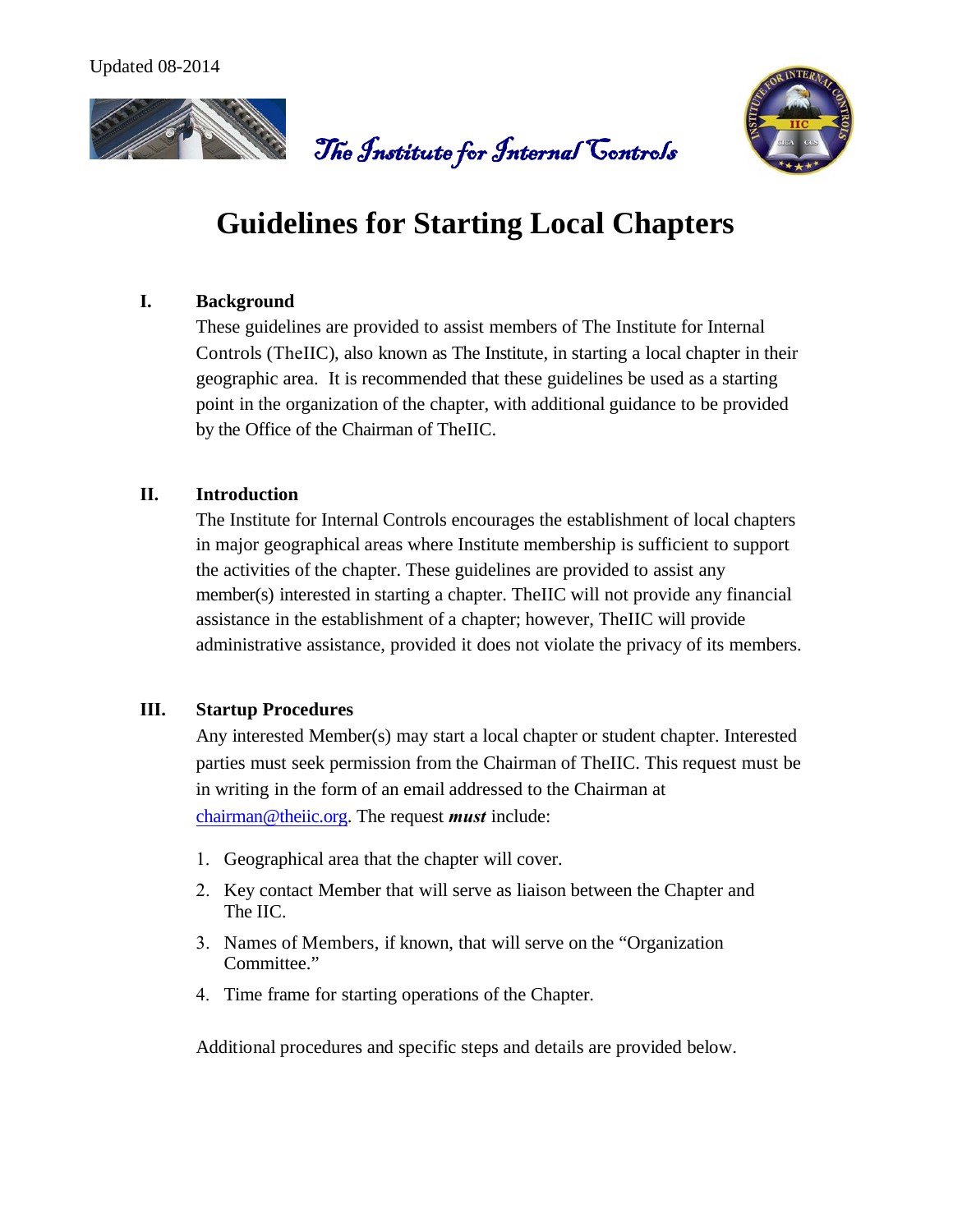



# **Guidelines for Starting Local Chapters**

# **I. Background**

These guidelines are provided to assist members of The Institute for Internal Controls (TheIIC), also known as The Institute, in starting a local chapter in their geographic area. It is recommended that these guidelines be used as a starting point in the organization of the chapter, with additional guidance to be provided by the Office of the Chairman of TheIIC.

# **II. Introduction**

The Institute for Internal Controls encourages the establishment of local chapters in major geographical areas where Institute membership is sufficient to support the activities of the chapter. These guidelines are provided to assist any member(s) interested in starting a chapter. TheIIC will not provide any financial assistance in the establishment of a chapter; however, TheIIC will provide administrative assistance, provided it does not violate the privacy of its members.

# **III. Startup Procedures**

Any interested Member(s) may start a local chapter or student chapter. Interested parties must seek permission from the Chairman of TheIIC. This request must be in writing in the form of an email addressed to the Chairman at [chairman@theiic.org. T](mailto:chairman@theiic.org)he request *must* include:

- 1. Geographical area that the chapter will cover.
- 2. Key contact Member that will serve as liaison between the Chapter and The IIC.
- 3. Names of Members, if known, that will serve on the "Organization Committee."
- 4. Time frame for starting operations of the Chapter.

Additional procedures and specific steps and details are provided below.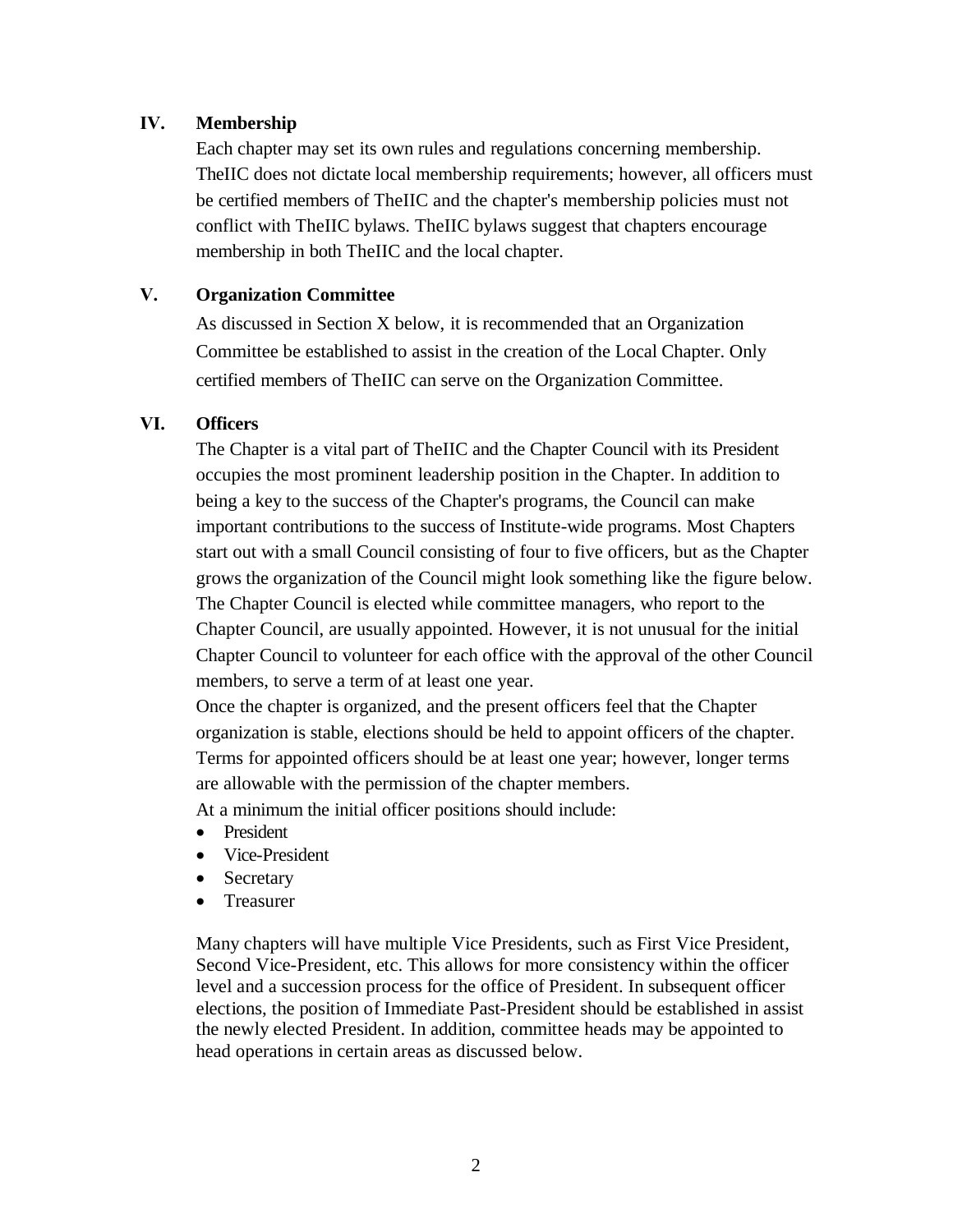# **IV. Membership**

Each chapter may set its own rules and regulations concerning membership. TheIIC does not dictate local membership requirements; however, all officers must be certified members of TheIIC and the chapter's membership policies must not conflict with TheIIC bylaws. TheIIC bylaws suggest that chapters encourage membership in both TheIIC and the local chapter.

## **V. Organization Committee**

As discussed in Section X below, it is recommended that an Organization Committee be established to assist in the creation of the Local Chapter. Only certified members of TheIIC can serve on the Organization Committee.

## **VI. Officers**

The Chapter is a vital part of TheIIC and the Chapter Council with its President occupies the most prominent leadership position in the Chapter. In addition to being a key to the success of the Chapter's programs, the Council can make important contributions to the success of Institute-wide programs. Most Chapters start out with a small Council consisting of four to five officers, but as the Chapter grows the organization of the Council might look something like the figure below. The Chapter Council is elected while committee managers, who report to the Chapter Council, are usually appointed. However, it is not unusual for the initial Chapter Council to volunteer for each office with the approval of the other Council members, to serve a term of at least one year.

Once the chapter is organized, and the present officers feel that the Chapter organization is stable, elections should be held to appoint officers of the chapter. Terms for appointed officers should be at least one year; however, longer terms are allowable with the permission of the chapter members.

At a minimum the initial officer positions should include:

- President
- Vice-President
- Secretary
- Treasurer

Many chapters will have multiple Vice Presidents, such as First Vice President, Second Vice-President, etc. This allows for more consistency within the officer level and a succession process for the office of President. In subsequent officer elections, the position of Immediate Past-President should be established in assist the newly elected President. In addition, committee heads may be appointed to head operations in certain areas as discussed below.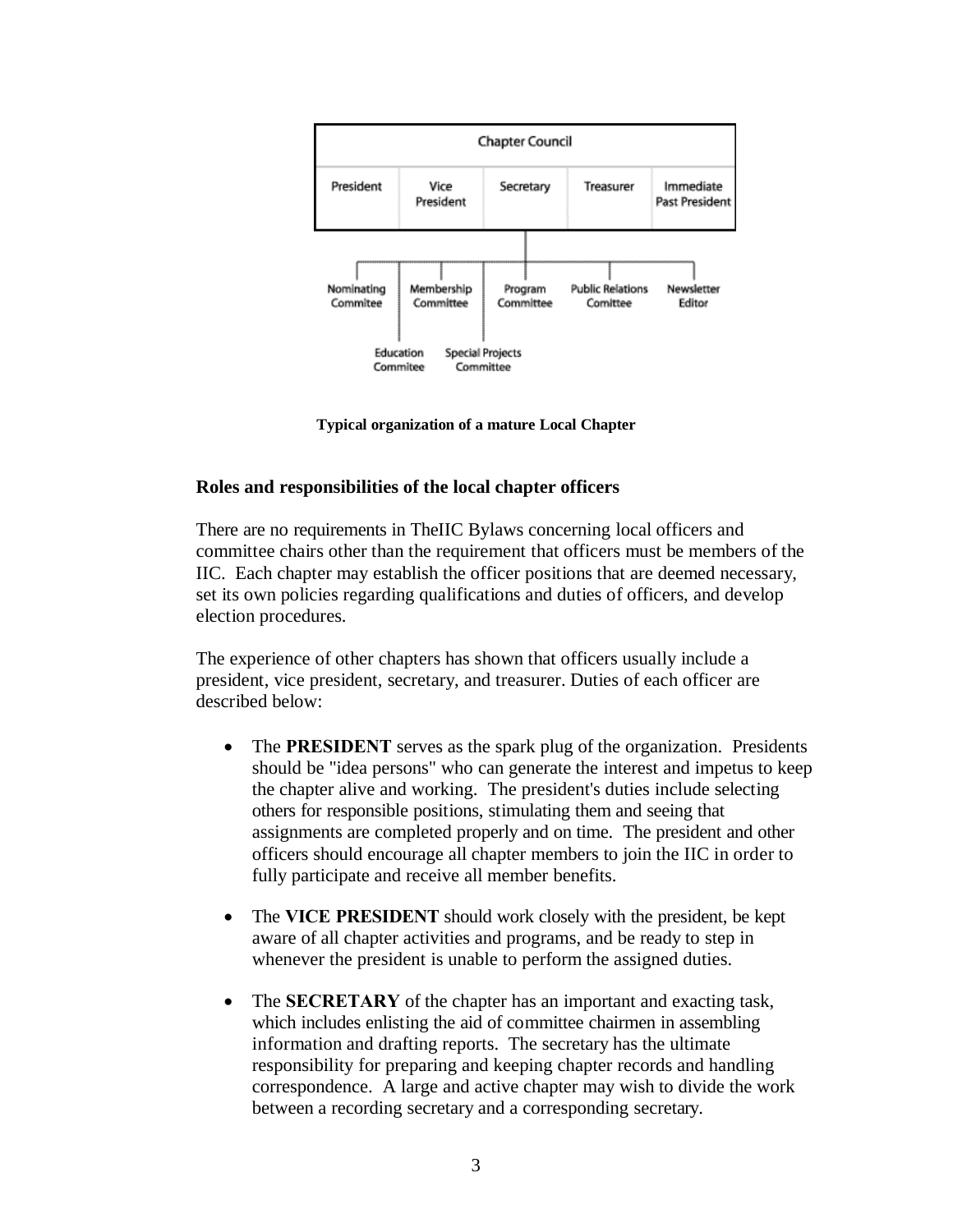

**Typical organization of a mature Local Chapter**

### **Roles and responsibilities of the local chapter officers**

There are no requirements in TheIIC Bylaws concerning local officers and committee chairs other than the requirement that officers must be members of the IIC. Each chapter may establish the officer positions that are deemed necessary, set its own policies regarding qualifications and duties of officers, and develop election procedures.

The experience of other chapters has shown that officers usually include a president, vice president, secretary, and treasurer. Duties of each officer are described below:

- The **PRESIDENT** serves as the spark plug of the organization. Presidents should be "idea persons" who can generate the interest and impetus to keep the chapter alive and working. The president's duties include selecting others for responsible positions, stimulating them and seeing that assignments are completed properly and on time. The president and other officers should encourage all chapter members to join the IIC in order to fully participate and receive all member benefits.
- The **VICE PRESIDENT** should work closely with the president, be kept aware of all chapter activities and programs, and be ready to step in whenever the president is unable to perform the assigned duties.
- The **SECRETARY** of the chapter has an important and exacting task, which includes enlisting the aid of committee chairmen in assembling information and drafting reports. The secretary has the ultimate responsibility for preparing and keeping chapter records and handling correspondence. A large and active chapter may wish to divide the work between a recording secretary and a corresponding secretary.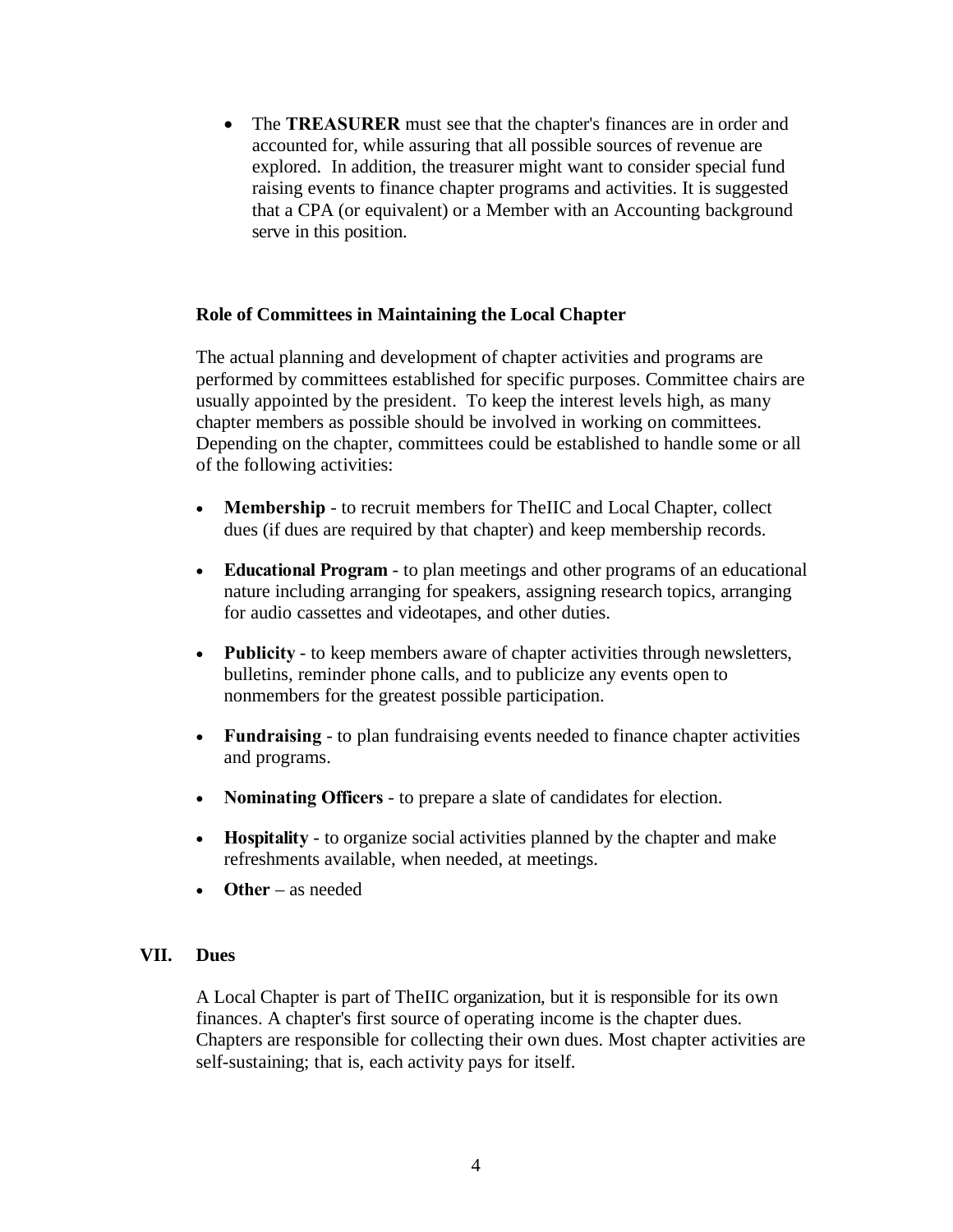• The **TREASURER** must see that the chapter's finances are in order and accounted for, while assuring that all possible sources of revenue are explored. In addition, the treasurer might want to consider special fund raising events to finance chapter programs and activities. It is suggested that a CPA (or equivalent) or a Member with an Accounting background serve in this position.

### **Role of Committees in Maintaining the Local Chapter**

The actual planning and development of chapter activities and programs are performed by committees established for specific purposes. Committee chairs are usually appointed by the president. To keep the interest levels high, as many chapter members as possible should be involved in working on committees. Depending on the chapter, committees could be established to handle some or all of the following activities:

- **Membership** to recruit members for TheIIC and Local Chapter, collect dues (if dues are required by that chapter) and keep membership records.
- **Educational Program** to plan meetings and other programs of an educational nature including arranging for speakers, assigning research topics, arranging for audio cassettes and videotapes, and other duties.
- **Publicity** to keep members aware of chapter activities through newsletters, bulletins, reminder phone calls, and to publicize any events open to nonmembers for the greatest possible participation.
- **Fundraising** to plan fundraising events needed to finance chapter activities and programs.
- **Nominating Officers** to prepare a slate of candidates for election.
- **Hospitality** to organize social activities planned by the chapter and make refreshments available, when needed, at meetings.
- **Other** as needed

# **VII. Dues**

A Local Chapter is part of TheIIC organization, but it is responsible for its own finances. A chapter's first source of operating income is the chapter dues. Chapters are responsible for collecting their own dues. Most chapter activities are self-sustaining; that is, each activity pays for itself.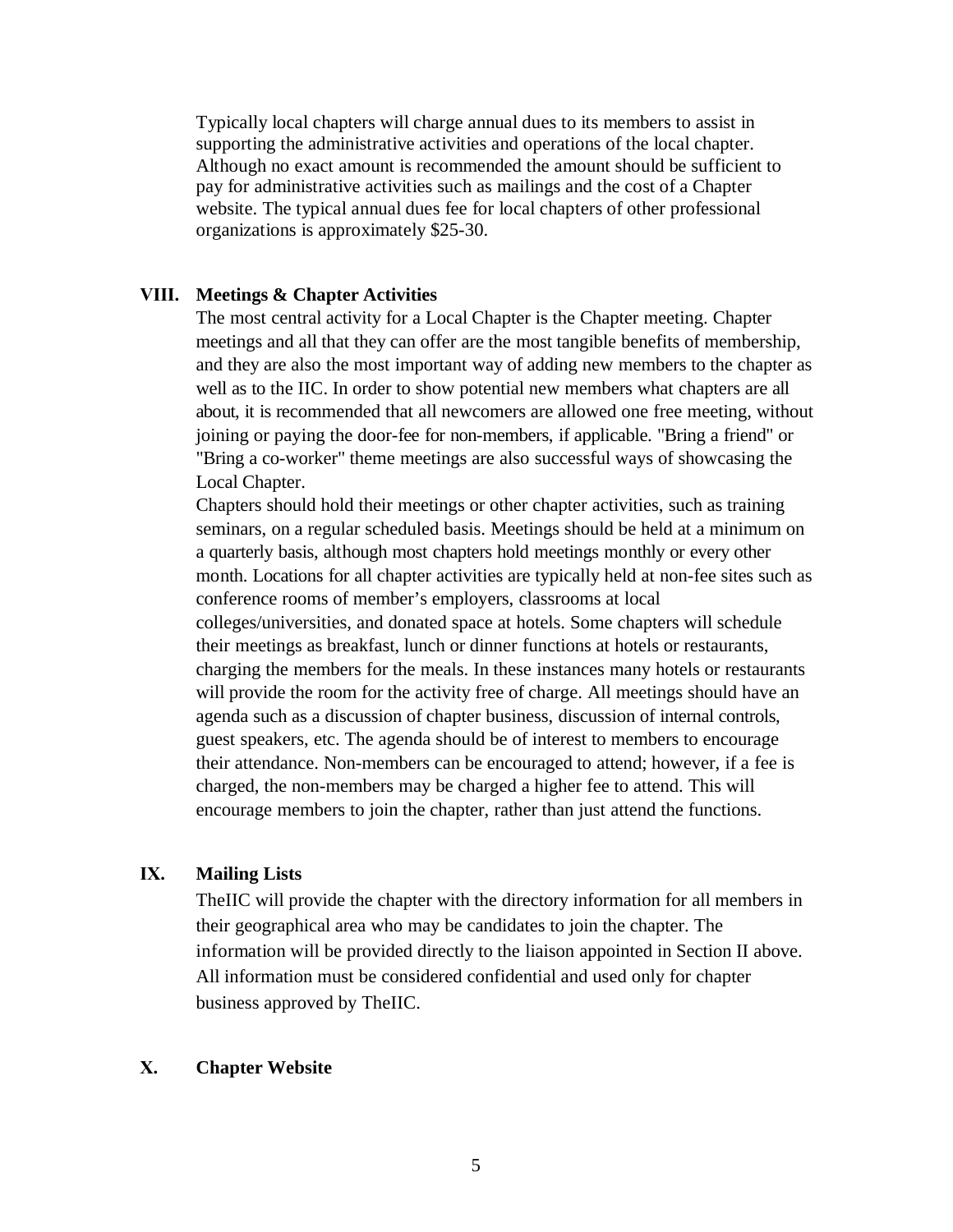Typically local chapters will charge annual dues to its members to assist in supporting the administrative activities and operations of the local chapter. Although no exact amount is recommended the amount should be sufficient to pay for administrative activities such as mailings and the cost of a Chapter website. The typical annual dues fee for local chapters of other professional organizations is approximately \$25-30.

#### **VIII. Meetings & Chapter Activities**

The most central activity for a Local Chapter is the Chapter meeting. Chapter meetings and all that they can offer are the most tangible benefits of membership, and they are also the most important way of adding new members to the chapter as well as to the IIC. In order to show potential new members what chapters are all about, it is recommended that all newcomers are allowed one free meeting, without joining or paying the door-fee for non-members, if applicable. "Bring a friend" or "Bring a co-worker" theme meetings are also successful ways of showcasing the Local Chapter.

Chapters should hold their meetings or other chapter activities, such as training seminars, on a regular scheduled basis. Meetings should be held at a minimum on a quarterly basis, although most chapters hold meetings monthly or every other month. Locations for all chapter activities are typically held at non-fee sites such as conference rooms of member's employers, classrooms at local colleges/universities, and donated space at hotels. Some chapters will schedule their meetings as breakfast, lunch or dinner functions at hotels or restaurants, charging the members for the meals. In these instances many hotels or restaurants will provide the room for the activity free of charge. All meetings should have an agenda such as a discussion of chapter business, discussion of internal controls, guest speakers, etc. The agenda should be of interest to members to encourage their attendance. Non-members can be encouraged to attend; however, if a fee is charged, the non-members may be charged a higher fee to attend. This will encourage members to join the chapter, rather than just attend the functions.

#### **IX. Mailing Lists**

TheIIC will provide the chapter with the directory information for all members in their geographical area who may be candidates to join the chapter. The information will be provided directly to the liaison appointed in Section II above. All information must be considered confidential and used only for chapter business approved by TheIIC.

### **X. Chapter Website**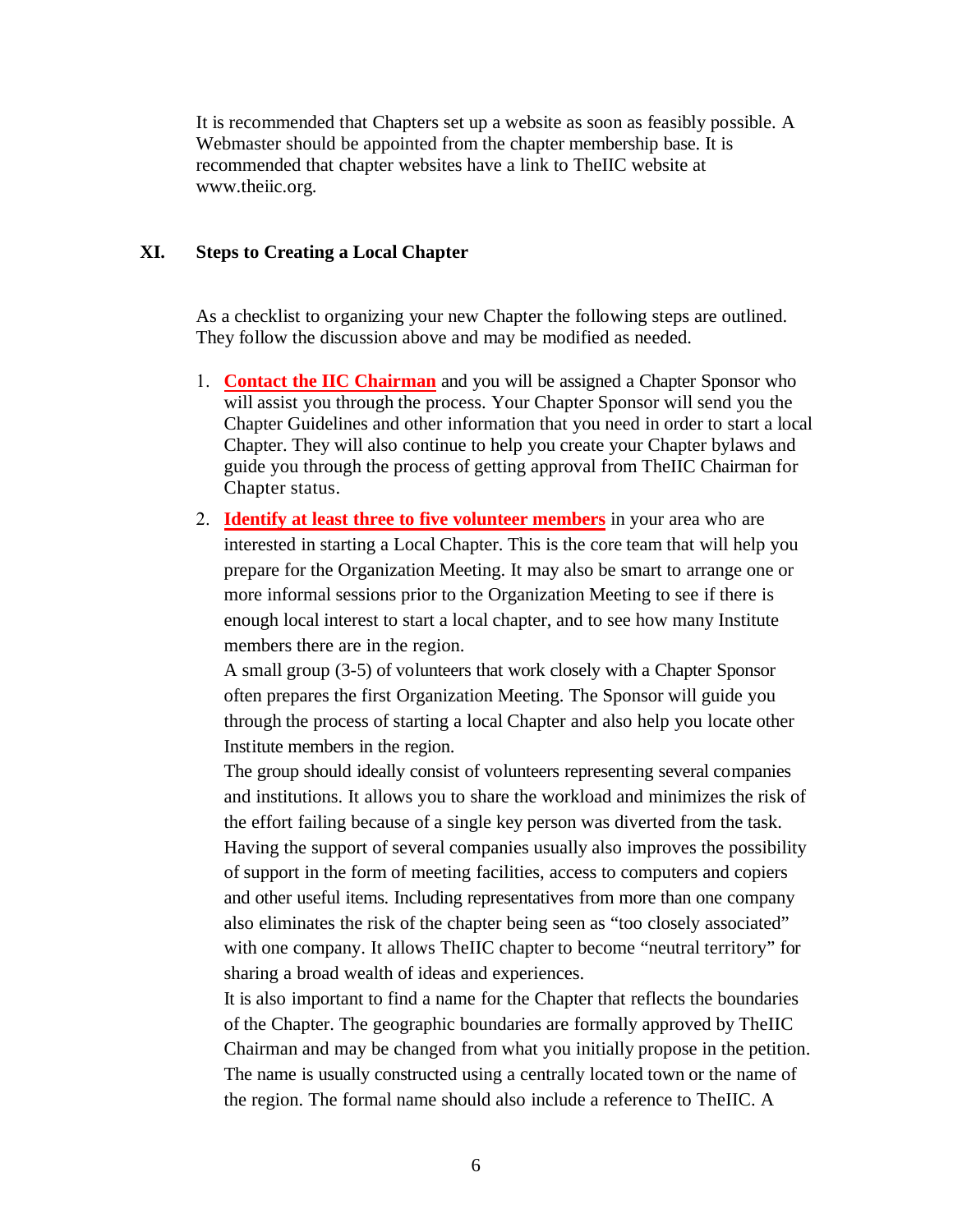It is recommended that Chapters set up a website as soon as feasibly possible. A Webmaster should be appointed from the chapter membership base. It is recommended that chapter websites have a link to TheIIC website at www.theiic.org.

#### **XI. Steps to Creating a Local Chapter**

As a checklist to organizing your new Chapter the following steps are outlined. They follow the discussion above and may be modified as needed.

- 1. **Contact the IIC Chairman** and you will be assigned a Chapter Sponsor who will assist you through the process. Your Chapter Sponsor will send you the Chapter Guidelines and other information that you need in order to start a local Chapter. They will also continue to help you create your Chapter bylaws and guide you through the process of getting approval from TheIIC Chairman for Chapter status.
- 2. **Identify at least three to five volunteer members** in your area who are interested in starting a Local Chapter. This is the core team that will help you prepare for the Organization Meeting. It may also be smart to arrange one or more informal sessions prior to the Organization Meeting to see if there is enough local interest to start a local chapter, and to see how many Institute members there are in the region.

A small group (3-5) of volunteers that work closely with a Chapter Sponsor often prepares the first Organization Meeting. The Sponsor will guide you through the process of starting a local Chapter and also help you locate other Institute members in the region.

The group should ideally consist of volunteers representing several companies and institutions. It allows you to share the workload and minimizes the risk of the effort failing because of a single key person was diverted from the task. Having the support of several companies usually also improves the possibility of support in the form of meeting facilities, access to computers and copiers and other useful items. Including representatives from more than one company also eliminates the risk of the chapter being seen as "too closely associated" with one company. It allows TheIIC chapter to become "neutral territory" for sharing a broad wealth of ideas and experiences.

It is also important to find a name for the Chapter that reflects the boundaries of the Chapter. The geographic boundaries are formally approved by TheIIC Chairman and may be changed from what you initially propose in the petition. The name is usually constructed using a centrally located town or the name of the region. The formal name should also include a reference to TheIIC. A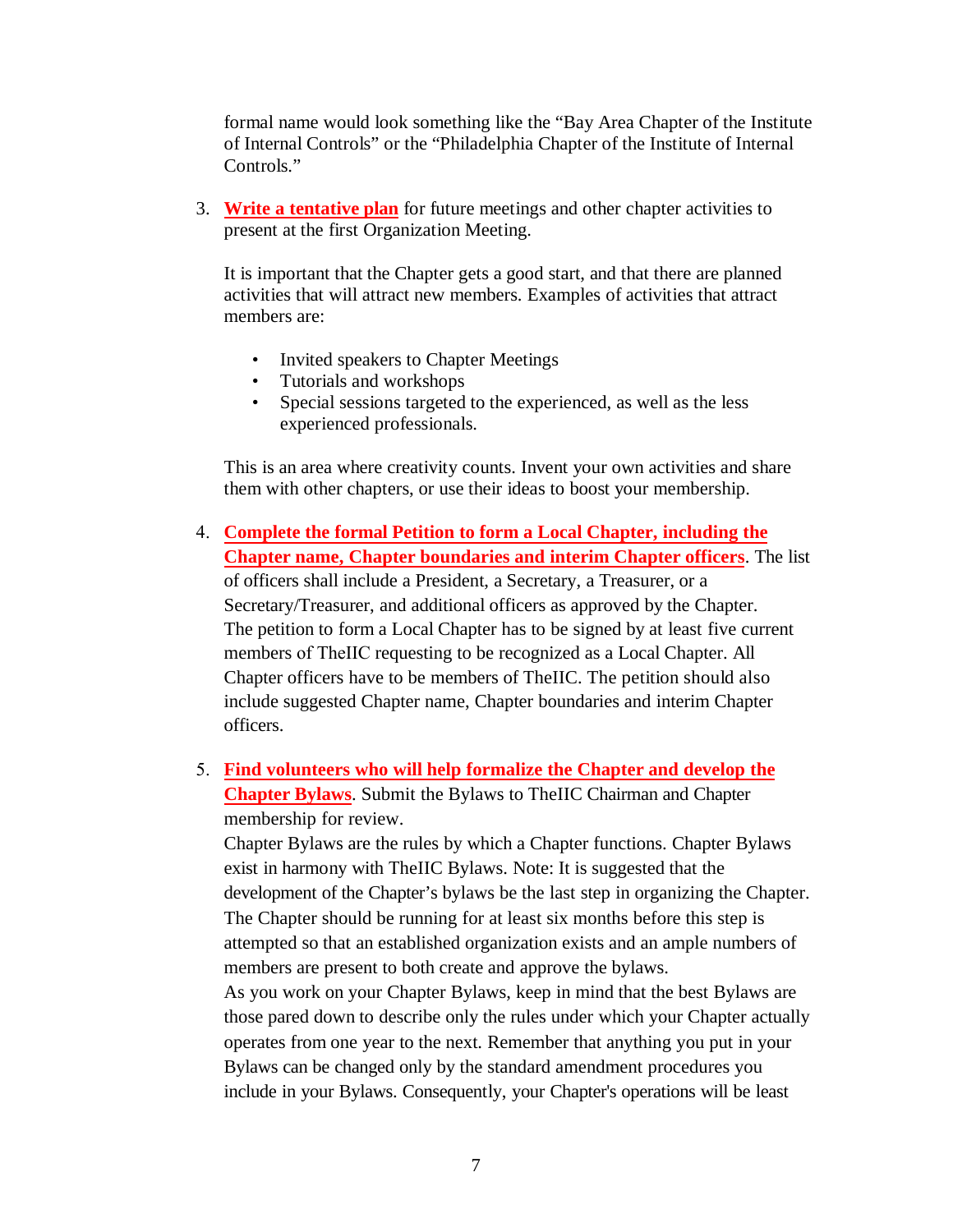formal name would look something like the "Bay Area Chapter of the Institute of Internal Controls" or the "Philadelphia Chapter of the Institute of Internal Controls."

3. **Write a tentative plan** for future meetings and other chapter activities to present at the first Organization Meeting.

It is important that the Chapter gets a good start, and that there are planned activities that will attract new members. Examples of activities that attract members are:

- Invited speakers to Chapter Meetings
- Tutorials and workshops
- Special sessions targeted to the experienced, as well as the less experienced professionals.

This is an area where creativity counts. Invent your own activities and share them with other chapters, or use their ideas to boost your membership.

- 4. **Complete the formal Petition to form a Local Chapter, including the Chapter name, Chapter boundaries and interim Chapter officers**. The list of officers shall include a President, a Secretary, a Treasurer, or a Secretary/Treasurer, and additional officers as approved by the Chapter. The petition to form a Local Chapter has to be signed by at least five current members of TheIIC requesting to be recognized as a Local Chapter. All Chapter officers have to be members of TheIIC. The petition should also include suggested Chapter name, Chapter boundaries and interim Chapter officers.
- 5. **Find volunteers who will help formalize the Chapter and develop the Chapter Bylaws**. Submit the Bylaws to TheIIC Chairman and Chapter membership for review.

Chapter Bylaws are the rules by which a Chapter functions. Chapter Bylaws exist in harmony with TheIIC Bylaws. Note: It is suggested that the development of the Chapter's bylaws be the last step in organizing the Chapter. The Chapter should be running for at least six months before this step is attempted so that an established organization exists and an ample numbers of members are present to both create and approve the bylaws.

As you work on your Chapter Bylaws, keep in mind that the best Bylaws are those pared down to describe only the rules under which your Chapter actually operates from one year to the next. Remember that anything you put in your Bylaws can be changed only by the standard amendment procedures you include in your Bylaws. Consequently, your Chapter's operations will be least